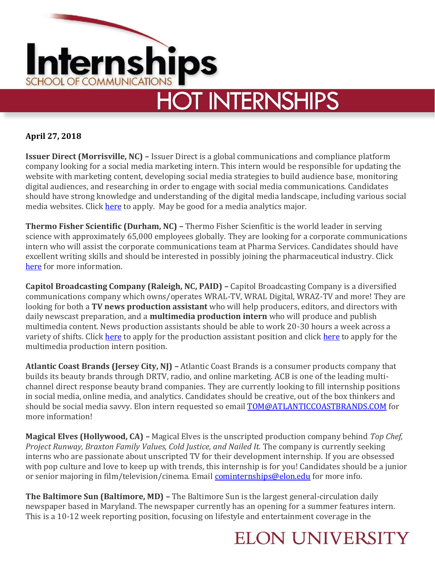

### **April 27, 2018**

**Issuer Direct (Morrisville, NC) –** Issuer Direct is a global communications and compliance platform company looking for a social media marketing intern. This intern would be responsible for updating the website with marketing content, developing social media strategies to build audience base, monitoring digital audiences, and researching in order to engage with social media communications. Candidates should have strong knowledge and understanding of the digital media landscape, including various social media websites. Click [here](https://www.linkedin.com/jobs/view/internship-social-media-marketing-intern-at-issuer-direct-643358479?trkInfo=searchKeywordString%3AMedia%2BAnalytics%2BInternship%2CsearchLocationString%3ADurham%252C%2BNC%2Cvertical%3Ajobs%2CpageNum%3A0%2Cpositio) to apply. May be good for a media analytics major.

**Thermo Fisher Scientific (Durham, NC) –** Thermo Fisher Scienfitic is the world leader in serving science with approximately 65,000 employees globally. They are looking for a corporate communications intern who will assist the corporate communications team at Pharma Services. Candidates should have excellent writing skills and should be interested in possibly joining the pharmaceutical industry. Click [here](https://www.simplyhired.com/search?q=media+intern&l=Durham%2C+NC&job=8YtbGQVrFwNBMrmTmuXZcPV1FNkMoHkP_jXns_3Lyn9LDqvD3ojeyA) for more information.

**Capitol Broadcasting Company (Raleigh, NC, PAID) –** Capitol Broadcasting Company is a diversified communications company which owns/operates WRAL-TV, WRAL Digital, WRAZ-TV and more! They are looking for both a **TV news production assistant** who will help producers, editors, and directors with daily newscast preparation, and a **multimedia production intern** who will produce and publish multimedia content. News production assistants should be able to work 20-30 hours a week across a variety of shifts. Click [here](https://www.simplyhired.com/search?q=media+intern&l=Durham%2C+NC&job=TK0rq-8ntTq5nNd3Wf2kKfHEFzvbeRy-LQlQ7qDnWE8_38_k5EMYwQ) to apply for the production assistant position and click here to apply for the multimedia production intern position.

**Atlantic Coast Brands (Jersey City, NJ) –** Atlantic Coast Brands is a consumer products company that builds its beauty brands through DRTV, radio, and online marketing. ACB is one of the leading multichannel direct response beauty brand companies. They are currently looking to fill internship positions in social media, online media, and analytics. Candidates should be creative, out of the box thinkers and should be social media savvy. Elon intern requested so email **TOM@ATLANTICCOASTBRANDS.COM** for more information!

**Magical Elves (Hollywood, CA) –** Magical Elves is the unscripted production company behind *Top Chef, Project Runway, Braxton Family Values, Cold Justice, and Nailed It.* The company is currently seeking interns who are passionate about unscripted TV for their development internship. If you are obsessed with pop culture and love to keep up with trends, this internship is for you! Candidates should be a junior or senior majoring in film/television/cinema. Email [cominternships@elon.edu](mailto:cominternships@elon.edu) for more info.

**The Baltimore Sun (Baltimore, MD) –** The Baltimore Sun is the largest general-circulation daily newspaper based in Maryland. The newspaper currently has an opening for a summer features intern. This is a 10-12 week reporting position, focusing on lifestyle and entertainment coverage in the

## **ELON UNIVERSITY**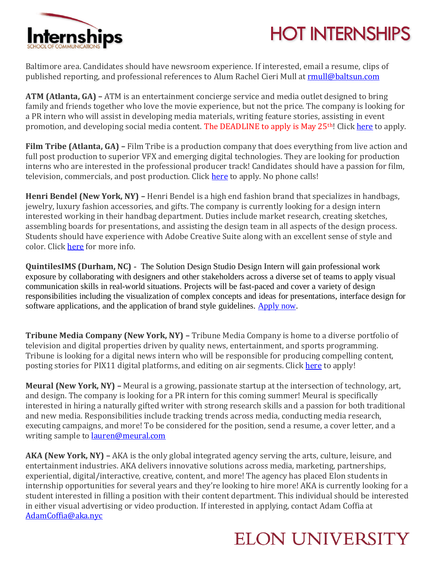



Baltimore area. Candidates should have newsroom experience. If interested, email a resume, clips of published reporting, and professional references to Alum Rachel Cieri Mull at **rmull@baltsun.com** 

**ATM (Atlanta, GA) –** ATM is an entertainment concierge service and media outlet designed to bring family and friends together who love the movie experience, but not the price. The company is looking for a PR intern who will assist in developing media materials, writing feature stories, assisting in event promotion, and developing social media content. The DEADLINE to apply is May 25<sup>th</sup>! Clic[k here](http://www.internships.com/public-relations/pr-internships-for-moviefilm-outlet) to apply.

**Film Tribe (Atlanta, GA) –** Film Tribe is a production company that does everything from live action and full post production to superior VFX and emerging digital technologies. They are looking for production interns who are interested in the professional producer track! Candidates should have a passion for film, television, commercials, and post production. Click [here](http://filmtribeatl.com/pulse/atlanta-production-interns-2/) to apply. No phone calls!

**Henri Bendel (New York, NY) –** Henri Bendel is a high end fashion brand that specializes in handbags, jewelry, luxury fashion accessories, and gifts. The company is currently looking for a design intern interested working in their handbag department. Duties include market research, creating sketches, assembling boards for presentations, and assisting the design team in all aspects of the design process. Students should have experience with Adobe Creative Suite along with an excellent sense of style and color. Click [here](https://www.linkedin.com/jobs/view/summer-2018-handbag-design-internship-at-henri-bendel-626366454?trkInfo=searchKeywordString%3ASummer%2BInternship%2CsearchLocationString%3A%252C%2BNew%2BYork%2Cvertical%3Ajobs%2CpageNum%3A0%2Cposition%3A14%2CMSRP) for more info.

**QuintilesIMS (Durham, NC)** - The Solution Design Studio Design Intern will gain professional work exposure by collaborating with designers and other stakeholders across a diverse set of teams to apply visual communication skills in real-world situations. Projects will be fast-paced and cover a variety of design responsibilities including the visualization of complex concepts and ideas for presentations, interface design for software applications, and the application of brand style guidelines. [Apply now.](https://www.simplyhired.com/search?q=graphic+design+intern&l=durham%2C+nc&job=o7_bwLOb5QmBaFRksxD6rzhe1ZTicHLBl5RuTDYH9zP148mCyWbpOA)

**Tribune Media Company (New York, NY) –** Tribune Media Company is home to a diverse portfolio of television and digital properties driven by quality news, entertainment, and sports programming. Tribune is looking for a digital news intern who will be responsible for producing compelling content, posting stories for PIX11 digital platforms, and editing on air segments. Click [here](https://www.linkedin.com/jobs/view/digital-news-intern-at-tribune-media-669879873?utm_campaign=google_jobs_apply&utm_source=google_jobs_apply&utm_medium=organic) to apply!

**Meural (New York, NY) –** Meural is a growing, passionate startup at the intersection of technology, art, and design. The company is looking for a PR intern for this coming summer! Meural is specifically interested in hiring a naturally gifted writer with strong research skills and a passion for both traditional and new media. Responsibilities include tracking trends across media, conducting media research, executing campaigns, and more! To be considered for the position, send a resume, a cover letter, and a writing sample to **lauren@meural.com** 

**AKA (New York, NY) –** AKA is the only global integrated agency serving the arts, culture, leisure, and entertainment industries. AKA delivers innovative solutions across media, marketing, partnerships, experiential, digital/interactive, creative, content, and more! The agency has placed Elon students in internship opportunities for several years and they're looking to hire more! AKA is currently looking for a student interested in filling a position with their content department. This individual should be interested in either visual advertising or video production. If interested in applying, contact Adam Coffia at [AdamCoffia@aka.nyc](mailto:AdamCoffia@aka.nyc)

# **ELON UNIVERSITY**